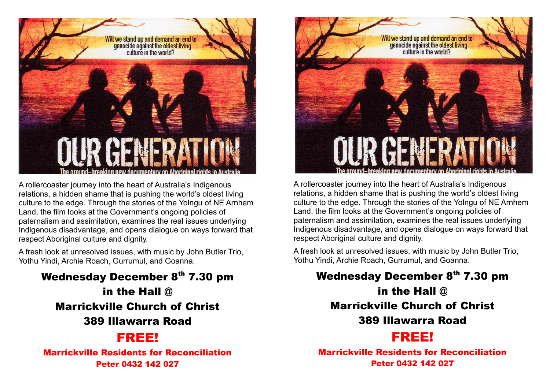

A rollercoaster journey into the heart of Australia's Indigenous relations, a hidden shame that is pushing the world's oldest living culture to the edge. Through the stories of the Yolngu of NE Arnhem Land, the film looks at the Government's ongoing policies of paternalism and assimilation, examines the real issues underlying Indigenous disadvantage, and opens dialogue on ways forward that respect Aboriginal culture and dignity.

A fresh look at unresolved issues, with music by John Butler Trio, Yothu Yindi, Archie Roach, Gurrumul, and Goanna.

Wednesday December 8th 7.30 pm in the Hall @ Marrickville Church of Christ 389 Illawarra Road

## FREE!

Marrickville Residents for Reconciliation Peter 0432 142 027



A rollercoaster journey into the heart of Australia's Indigenous relations, a hidden shame that is pushing the world's oldest living culture to the edge. Through the stories of the Yolngu of NE Arnhem Land, the film looks at the Government's ongoing policies of paternalism and assimilation, examines the real issues underlying Indigenous disadvantage, and opens dialogue on ways forward that respect Aboriginal culture and dignity.

A fresh look at unresolved issues, with music by John Butler Trio, Yothu Yindi, Archie Roach, Gurrumul, and Goanna.

Wednesday December 8th 7.30 pm in the Hall @ Marrickville Church of Christ 389 Illawarra Road

## FREE!

Marrickville Residents for Reconciliation Peter 0432 142 027